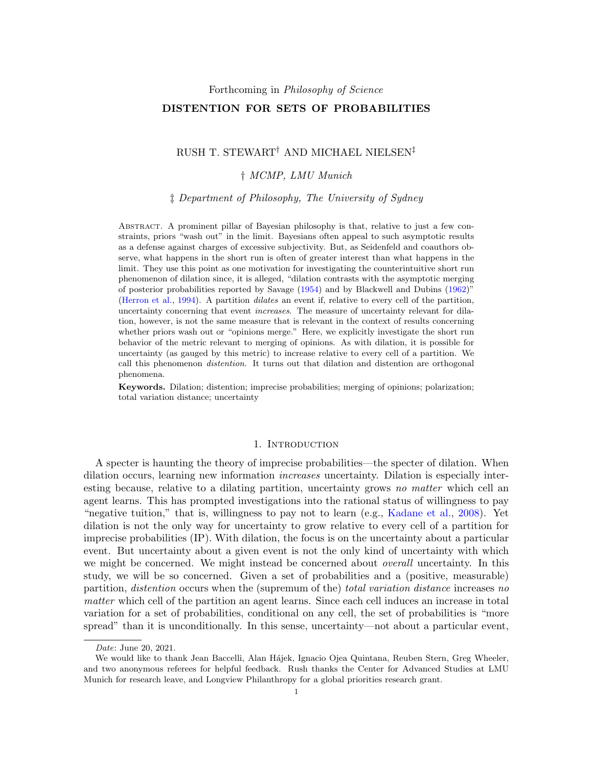Forthcoming in Philosophy of Science

## DISTENTION FOR SETS OF PROBABILITIES

# RUSH T. STEWART† AND MICHAEL NIELSEN‡

## † MCMP, LMU Munich

‡ Department of Philosophy, The University of Sydney

Abstract. A prominent pillar of Bayesian philosophy is that, relative to just a few constraints, priors "wash out" in the limit. Bayesians often appeal to such asymptotic results as a defense against charges of excessive subjectivity. But, as Seidenfeld and coauthors observe, what happens in the short run is often of greater interest than what happens in the limit. They use this point as one motivation for investigating the counterintuitive short run phenomenon of dilation since, it is alleged, "dilation contrasts with the asymptotic merging of posterior probabilities reported by Savage [\(1954\)](#page-14-0) and by Blackwell and Dubins [\(1962\)](#page-13-0)" [\(Herron et al.,](#page-13-1) [1994\)](#page-13-1). A partition dilates an event if, relative to every cell of the partition, uncertainty concerning that event increases. The measure of uncertainty relevant for dilation, however, is not the same measure that is relevant in the context of results concerning whether priors wash out or "opinions merge." Here, we explicitly investigate the short run behavior of the metric relevant to merging of opinions. As with dilation, it is possible for uncertainty (as gauged by this metric) to increase relative to every cell of a partition. We call this phenomenon distention. It turns out that dilation and distention are orthogonal phenomena.

Keywords. Dilation; distention; imprecise probabilities; merging of opinions; polarization; total variation distance; uncertainty

## 1. INTRODUCTION

A specter is haunting the theory of imprecise probabilities—the specter of dilation. When dilation occurs, learning new information increases uncertainty. Dilation is especially interesting because, relative to a dilating partition, uncertainty grows no matter which cell an agent learns. This has prompted investigations into the rational status of willingness to pay "negative tuition," that is, willingness to pay not to learn (e.g., [Kadane et al.,](#page-13-2) [2008\)](#page-13-2). Yet dilation is not the only way for uncertainty to grow relative to every cell of a partition for imprecise probabilities (IP). With dilation, the focus is on the uncertainty about a particular event. But uncertainty about a given event is not the only kind of uncertainty with which we might be concerned. We might instead be concerned about *overall* uncertainty. In this study, we will be so concerned. Given a set of probabilities and a (positive, measurable) partition, distention occurs when the (supremum of the) total variation distance increases no matter which cell of the partition an agent learns. Since each cell induces an increase in total variation for a set of probabilities, conditional on any cell, the set of probabilities is "more spread" than it is unconditionally. In this sense, uncertainty—not about a particular event,

Date: June 20, 2021.

We would like to thank Jean Baccelli, Alan Hájek, Ignacio Ojea Quintana, Reuben Stern, Greg Wheeler, and two anonymous referees for helpful feedback. Rush thanks the Center for Advanced Studies at LMU Munich for research leave, and Longview Philanthropy for a global priorities research grant.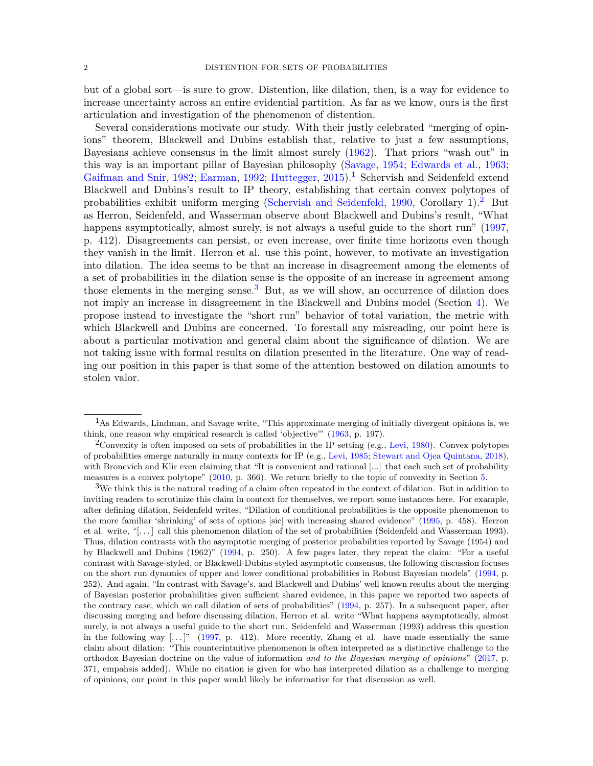but of a global sort—is sure to grow. Distention, like dilation, then, is a way for evidence to increase uncertainty across an entire evidential partition. As far as we know, ours is the first articulation and investigation of the phenomenon of distention.

Several considerations motivate our study. With their justly celebrated "merging of opinions" theorem, Blackwell and Dubins establish that, relative to just a few assumptions, Bayesians achieve consensus in the limit almost surely [\(1962\)](#page-13-0). That priors "wash out" in this way is an important pillar of Bayesian philosophy [\(Savage,](#page-14-0) [1954;](#page-14-0) [Edwards et al.,](#page-13-3) [1963;](#page-13-3) [Gaifman and Snir,](#page-13-4) [1982;](#page-13-4) [Earman,](#page-13-5) [1992;](#page-13-5) [Huttegger,](#page-13-6) [2015\)](#page-13-6).<sup>[1](#page-1-0)</sup> Schervish and Seidenfeld extend Blackwell and Dubins's result to IP theory, establishing that certain convex polytopes of probabilities exhibit uniform merging [\(Schervish and Seidenfeld,](#page-14-1) [1990,](#page-14-1) Corollary 1).<sup>[2](#page-1-1)</sup> But as Herron, Seidenfeld, and Wasserman observe about Blackwell and Dubins's result, "What happens asymptotically, almost surely, is not always a useful guide to the short run" [\(1997,](#page-13-7) p. 412). Disagreements can persist, or even increase, over finite time horizons even though they vanish in the limit. Herron et al. use this point, however, to motivate an investigation into dilation. The idea seems to be that an increase in disagreement among the elements of a set of probabilities in the dilation sense is the opposite of an increase in agreement among those elements in the merging sense.<sup>[3](#page-1-2)</sup> But, as we will show, an occurrence of dilation does not imply an increase in disagreement in the Blackwell and Dubins model (Section [4\)](#page-5-0). We propose instead to investigate the "short run" behavior of total variation, the metric with which Blackwell and Dubins are concerned. To forestall any misreading, our point here is about a particular motivation and general claim about the significance of dilation. We are not taking issue with formal results on dilation presented in the literature. One way of reading our position in this paper is that some of the attention bestowed on dilation amounts to stolen valor.

<span id="page-1-0"></span><sup>1</sup>As Edwards, Lindman, and Savage write, "This approximate merging of initially divergent opinions is, we think, one reason why empirical research is called 'objective'" [\(1963,](#page-13-3) p. 197).

<span id="page-1-1"></span><sup>2</sup>Convexity is often imposed on sets of probabilities in the IP setting (e.g., [Levi,](#page-13-8) [1980\)](#page-13-8). Convex polytopes of probabilities emerge naturally in many contexts for IP (e.g., [Levi,](#page-13-9) [1985;](#page-13-9) [Stewart and Ojea Quintana,](#page-14-2) [2018\)](#page-14-2), with Bronevich and Klir even claiming that "It is convenient and rational [...] that each such set of probability measures is a convex polytope" [\(2010,](#page-13-10) p. 366). We return briefly to the topic of convexity in Section [5.](#page-7-0)

<span id="page-1-2"></span><sup>3</sup>We think this is the natural reading of a claim often repeated in the context of dilation. But in addition to inviting readers to scrutinize this claim in context for themselves, we report some instances here. For example, after defining dilation, Seidenfeld writes, "Dilation of conditional probabilities is the opposite phenomenon to the more familiar 'shrinking' of sets of options [sic] with increasing shared evidence" [\(1995,](#page-14-3) p. 458). Herron et al. write, "[. . . ] call this phenomenon dilation of the set of probabilities (Seidenfeld and Wasserman 1993). Thus, dilation contrasts with the asymptotic merging of posterior probabilities reported by Savage (1954) and by Blackwell and Dubins (1962)" [\(1994,](#page-13-1) p. 250). A few pages later, they repeat the claim: "For a useful contrast with Savage-styled, or Blackwell-Dubins-styled asymptotic consensus, the following discussion focuses on the short run dynamics of upper and lower conditional probabilities in Robust Bayesian models" [\(1994,](#page-13-1) p. 252). And again, "In contrast with Savage's, and Blackwell and Dubins' well known results about the merging of Bayesian posterior probabilities given sufficient shared evidence, in this paper we reported two aspects of the contrary case, which we call dilation of sets of probabilities" [\(1994,](#page-13-1) p. 257). In a subsequent paper, after discussing merging and before discussing dilation, Herron et al. write "What happens asymptotically, almost surely, is not always a useful guide to the short run. Seidenfeld and Wasserman (1993) address this question in the following way  $[\ldots]$ " [\(1997,](#page-13-7) p. 412). More recently, Zhang et al. have made essentially the same claim about dilation: "This counterintuitive phenomenon is often interpreted as a distinctive challenge to the orthodox Bayesian doctrine on the value of information and to the Bayesian merging of opinions" [\(2017,](#page-14-4) p. 371, empahsis added). While no citation is given for who has interpreted dilation as a challenge to merging of opinions, our point in this paper would likely be informative for that discussion as well.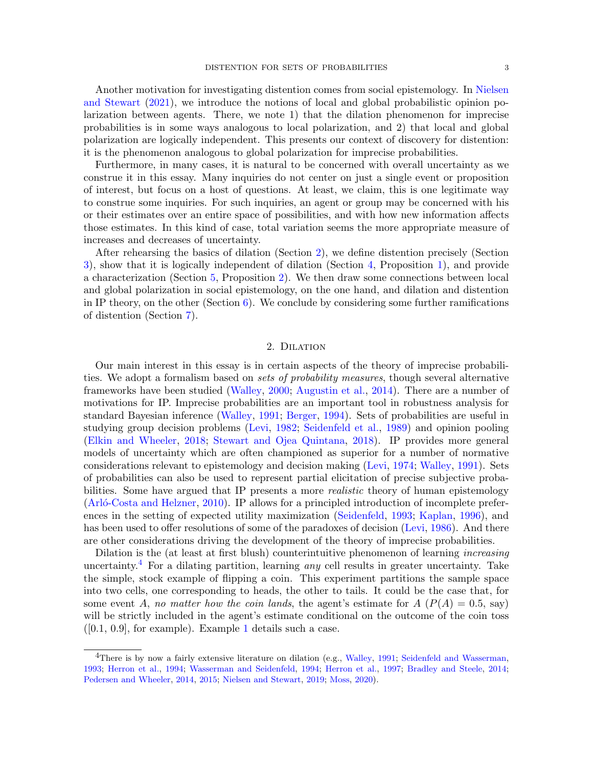Another motivation for investigating distention comes from social epistemology. In [Nielsen](#page-14-5) [and Stewart](#page-14-5) [\(2021\)](#page-14-5), we introduce the notions of local and global probabilistic opinion polarization between agents. There, we note 1) that the dilation phenomenon for imprecise probabilities is in some ways analogous to local polarization, and 2) that local and global polarization are logically independent. This presents our context of discovery for distention: it is the phenomenon analogous to global polarization for imprecise probabilities.

Furthermore, in many cases, it is natural to be concerned with overall uncertainty as we construe it in this essay. Many inquiries do not center on just a single event or proposition of interest, but focus on a host of questions. At least, we claim, this is one legitimate way to construe some inquiries. For such inquiries, an agent or group may be concerned with his or their estimates over an entire space of possibilities, and with how new information affects those estimates. In this kind of case, total variation seems the more appropriate measure of increases and decreases of uncertainty.

After rehearsing the basics of dilation (Section [2\)](#page-2-0), we define distention precisely (Section [3\)](#page-4-0), show that it is logically independent of dilation (Section [4,](#page-5-0) Proposition [1\)](#page-7-1), and provide a characterization (Section [5,](#page-7-0) Proposition [2\)](#page-7-2). We then draw some connections between local and global polarization in social epistemology, on the one hand, and dilation and distention in IP theory, on the other (Section  $6$ ). We conclude by considering some further ramifications of distention (Section [7\)](#page-9-0).

## 2. Dilation

<span id="page-2-0"></span>Our main interest in this essay is in certain aspects of the theory of imprecise probabilities. We adopt a formalism based on sets of probability measures, though several alternative frameworks have been studied [\(Walley,](#page-14-6) [2000;](#page-14-6) [Augustin et al.,](#page-13-11) [2014\)](#page-13-11). There are a number of motivations for IP. Imprecise probabilities are an important tool in robustness analysis for standard Bayesian inference [\(Walley,](#page-14-7) [1991;](#page-14-7) [Berger,](#page-13-12) [1994\)](#page-13-12). Sets of probabilities are useful in studying group decision problems [\(Levi,](#page-13-13) [1982;](#page-13-13) [Seidenfeld et al.,](#page-14-8) [1989\)](#page-14-8) and opinion pooling [\(Elkin and Wheeler,](#page-13-14) [2018;](#page-13-14) [Stewart and Ojea Quintana,](#page-14-2) [2018\)](#page-14-2). IP provides more general models of uncertainty which are often championed as superior for a number of normative considerations relevant to epistemology and decision making [\(Levi,](#page-13-15) [1974;](#page-13-15) [Walley,](#page-14-7) [1991\)](#page-14-7). Sets of probabilities can also be used to represent partial elicitation of precise subjective probabilities. Some have argued that IP presents a more *realistic* theory of human epistemology (Arló-Costa and Helzner, [2010\)](#page-13-16). IP allows for a principled introduction of incomplete preferences in the setting of expected utility maximization [\(Seidenfeld,](#page-14-9) [1993;](#page-14-9) [Kaplan,](#page-13-17) [1996\)](#page-13-17), and has been used to offer resolutions of some of the paradoxes of decision [\(Levi,](#page-13-18) [1986\)](#page-13-18). And there are other considerations driving the development of the theory of imprecise probabilities.

Dilation is the (at least at first blush) counterintuitive phenomenon of learning *increasing* uncertainty.<sup>[4](#page-2-1)</sup> For a dilating partition, learning *any* cell results in greater uncertainty. Take the simple, stock example of flipping a coin. This experiment partitions the sample space into two cells, one corresponding to heads, the other to tails. It could be the case that, for some event A, no matter how the coin lands, the agent's estimate for  $A(P(A) = 0.5$ , say) will be strictly included in the agent's estimate conditional on the outcome of the coin toss  $([0.1, 0.9],$  $([0.1, 0.9],$  $([0.1, 0.9],$  for example). Example 1 details such a case.

<span id="page-2-1"></span><sup>&</sup>lt;sup>4</sup>There is by now a fairly extensive literature on dilation (e.g., [Walley,](#page-14-7) [1991;](#page-14-7) [Seidenfeld and Wasserman,](#page-14-10) [1993;](#page-14-10) [Herron et al.,](#page-13-1) [1994;](#page-13-1) [Wasserman and Seidenfeld,](#page-14-11) [1994;](#page-14-11) [Herron et al.,](#page-13-7) [1997;](#page-13-7) [Bradley and Steele,](#page-13-19) [2014;](#page-13-19) [Pedersen and Wheeler,](#page-14-12) [2014,](#page-14-12) [2015;](#page-14-13) [Nielsen and Stewart,](#page-14-14) [2019;](#page-14-14) [Moss,](#page-13-20) [2020\)](#page-13-20).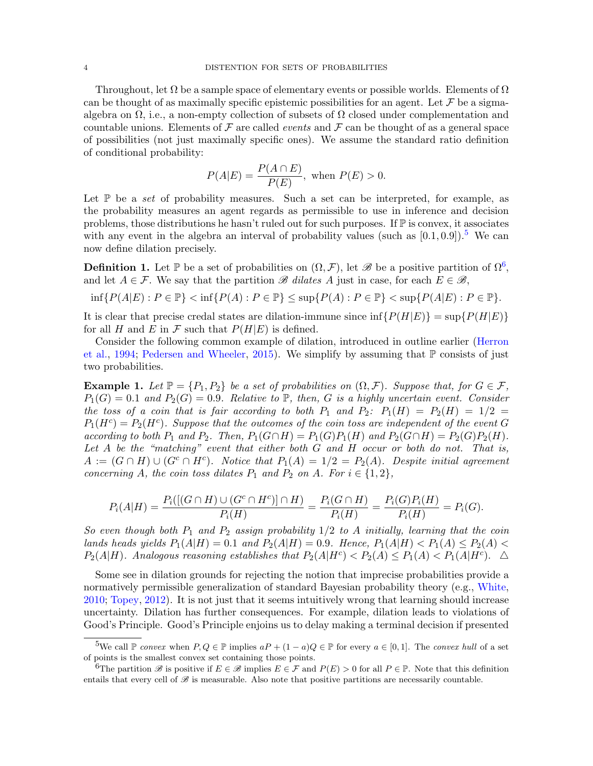Throughout, let  $\Omega$  be a sample space of elementary events or possible worlds. Elements of  $\Omega$ can be thought of as maximally specific epistemic possibilities for an agent. Let  $\mathcal F$  be a sigmaalgebra on  $\Omega$ , i.e., a non-empty collection of subsets of  $\Omega$  closed under complementation and countable unions. Elements of  $\mathcal F$  are called *events* and  $\mathcal F$  can be thought of as a general space of possibilities (not just maximally specific ones). We assume the standard ratio definition of conditional probability:

$$
P(A|E) = \frac{P(A \cap E)}{P(E)}, \text{ when } P(E) > 0.
$$

Let  $\mathbb P$  be a set of probability measures. Such a set can be interpreted, for example, as the probability measures an agent regards as permissible to use in inference and decision problems, those distributions he hasn't ruled out for such purposes. If P is convex, it associates with any event in the algebra an interval of probability values (such as  $[0.1, 0.9]$ ).<sup>[5](#page-3-1)</sup> We can now define dilation precisely.

**Definition 1.** Let  $\mathbb{P}$  be a set of probabilities on  $(\Omega, \mathcal{F})$ , let  $\mathscr{B}$  be a positive partition of  $\Omega^6$  $\Omega^6$ , and let  $A \in \mathcal{F}$ . We say that the partition  $\mathscr{B}$  dilates A just in case, for each  $E \in \mathscr{B}$ ,

$$
\inf\{P(A|E): P \in \mathbb{P}\} < \inf\{P(A): P \in \mathbb{P}\} \le \sup\{P(A): P \in \mathbb{P}\} < \sup\{P(A|E): P \in \mathbb{P}\}.
$$

It is clear that precise credal states are dilation-immune since  $\inf\{P(H|E)\} = \sup\{P(H|E)\}$ for all H and E in F such that  $P(H|E)$  is defined.

Consider the following common example of dilation, introduced in outline earlier [\(Herron](#page-13-1) [et al.,](#page-13-1) [1994;](#page-13-1) [Pedersen and Wheeler,](#page-14-13) [2015\)](#page-14-13). We simplify by assuming that  $\mathbb P$  consists of just two probabilities.

<span id="page-3-0"></span>**Example 1.** Let  $\mathbb{P} = \{P_1, P_2\}$  be a set of probabilities on  $(\Omega, \mathcal{F})$ . Suppose that, for  $G \in \mathcal{F}$ ,  $P_1(G) = 0.1$  and  $P_2(G) = 0.9$ . Relative to  $\mathbb{P}$ , then, G is a highly uncertain event. Consider the toss of a coin that is fair according to both  $P_1$  and  $P_2$ :  $P_1(H) = P_2(H) = 1/2$  $P_1(H^c) = P_2(H^c)$ . Suppose that the outcomes of the coin toss are independent of the event G according to both  $P_1$  and  $P_2$ . Then,  $P_1(G \cap H) = P_1(G)P_1(H)$  and  $P_2(G \cap H) = P_2(G)P_2(H)$ . Let  $A$  be the "matching" event that either both  $G$  and  $H$  occur or both do not. That is,  $A := (G \cap H) \cup (G^c \cap H^c)$ . Notice that  $P_1(A) = 1/2 = P_2(A)$ . Despite initial agreement concerning A, the coin toss dilates  $P_1$  and  $P_2$  on A. For  $i \in \{1,2\},\$ 

$$
P_i(A|H) = \frac{P_i([(G \cap H) \cup (G^c \cap H^c)] \cap H)}{P_i(H)} = \frac{P_i(G \cap H)}{P_i(H)} = \frac{P_i(G)P_i(H)}{P_i(H)} = P_i(G).
$$

So even though both  $P_1$  and  $P_2$  assign probability  $1/2$  to A initially, learning that the coin lands heads yields  $P_1(A|H) = 0.1$  and  $P_2(A|H) = 0.9$ . Hence,  $P_1(A|H) < P_1(A) \le P_2(A)$  $P_2(A|H)$ . Analogous reasoning establishes that  $P_2(A|H^c) < P_2(A) \le P_1(A) < P_1(A|H^c)$ .  $\Delta$ 

Some see in dilation grounds for rejecting the notion that imprecise probabilities provide a normatively permissible generalization of standard Bayesian probability theory (e.g., [White,](#page-14-15) [2010;](#page-14-15) [Topey,](#page-14-16) [2012\)](#page-14-16). It is not just that it seems intuitively wrong that learning should increase uncertainty. Dilation has further consequences. For example, dilation leads to violations of Good's Principle. Good's Principle enjoins us to delay making a terminal decision if presented

<span id="page-3-1"></span><sup>&</sup>lt;sup>5</sup>We call  $\mathbb P$  convex when  $P, Q \in \mathbb P$  implies  $aP + (1-a)Q \in \mathbb P$  for every  $a \in [0,1]$ . The convex hull of a set of points is the smallest convex set containing those points.

<span id="page-3-2"></span><sup>&</sup>lt;sup>6</sup>The partition  $\mathscr B$  is positive if  $E \in \mathscr B$  implies  $E \in \mathscr F$  and  $P(E) > 0$  for all  $P \in \mathbb P$ . Note that this definition entails that every cell of  $\mathscr B$  is measurable. Also note that positive partitions are necessarily countable.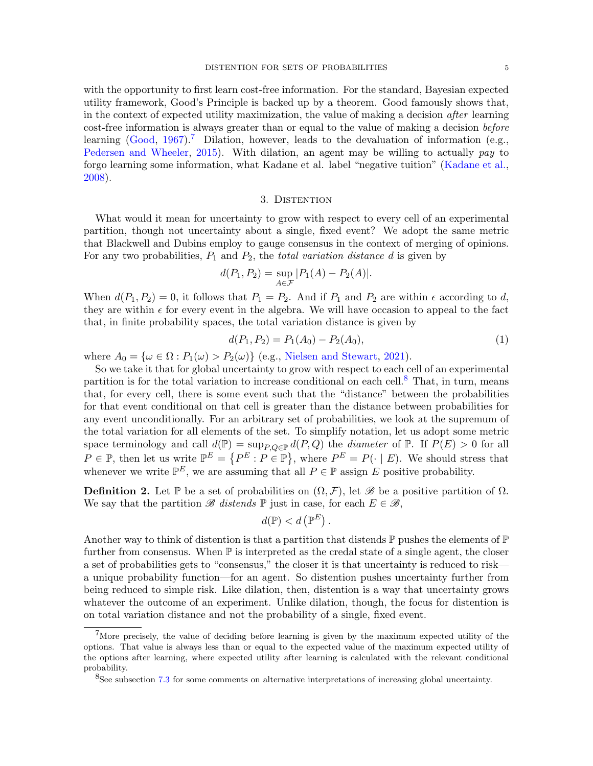with the opportunity to first learn cost-free information. For the standard, Bayesian expected utility framework, Good's Principle is backed up by a theorem. Good famously shows that, in the context of expected utility maximization, the value of making a decision after learning cost-free information is always greater than or equal to the value of making a decision before learning  $(Good, 1967).$  $(Good, 1967).$  $(Good, 1967).$  $(Good, 1967).$ <sup>[7](#page-4-1)</sup> Dilation, however, leads to the devaluation of information (e.g., [Pedersen and Wheeler,](#page-14-13) [2015\)](#page-14-13). With dilation, an agent may be willing to actually pay to forgo learning some information, what Kadane et al. label "negative tuition" [\(Kadane et al.,](#page-13-2) [2008\)](#page-13-2).

#### 3. DISTENTION

<span id="page-4-0"></span>What would it mean for uncertainty to grow with respect to every cell of an experimental partition, though not uncertainty about a single, fixed event? We adopt the same metric that Blackwell and Dubins employ to gauge consensus in the context of merging of opinions. For any two probabilities,  $P_1$  and  $P_2$ , the *total variation distance d* is given by

$$
d(P_1, P_2) = \sup_{A \in \mathcal{F}} |P_1(A) - P_2(A)|.
$$

When  $d(P_1, P_2) = 0$ , it follows that  $P_1 = P_2$ . And if  $P_1$  and  $P_2$  are within  $\epsilon$  according to d, they are within  $\epsilon$  for every event in the algebra. We will have occasion to appeal to the fact that, in finite probability spaces, the total variation distance is given by

<span id="page-4-3"></span>
$$
d(P_1, P_2) = P_1(A_0) - P_2(A_0), \tag{1}
$$

where  $A_0 = {\omega \in \Omega : P_1(\omega) > P_2(\omega)}$  (e.g., [Nielsen and Stewart,](#page-14-5) [2021\)](#page-14-5).

So we take it that for global uncertainty to grow with respect to each cell of an experimental partition is for the total variation to increase conditional on each cell.[8](#page-4-2) That, in turn, means that, for every cell, there is some event such that the "distance" between the probabilities for that event conditional on that cell is greater than the distance between probabilities for any event unconditionally. For an arbitrary set of probabilities, we look at the supremum of the total variation for all elements of the set. To simplify notation, let us adopt some metric space terminology and call  $d(\mathbb{P}) = \sup_{P,Q \in \mathbb{P}} d(P,Q)$  the *diameter* of  $\mathbb{P}$ . If  $P(E) > 0$  for all  $P \in \mathbb{P}$ , then let us write  $\mathbb{P}^E = \{P^E : P \in \mathbb{P}\}\$ , where  $P^E = P(\cdot | E)$ . We should stress that whenever we write  $\mathbb{P}^E$ , we are assuming that all  $P \in \mathbb{P}$  assign E positive probability.

**Definition 2.** Let  $\mathbb{P}$  be a set of probabilities on  $(\Omega, \mathcal{F})$ , let  $\mathscr{B}$  be a positive partition of  $\Omega$ . We say that the partition  $\mathscr B$  distends  $\mathbb P$  just in case, for each  $E \in \mathscr B$ ,

$$
d(\mathbb{P}) < d\left(\mathbb{P}^E\right).
$$

Another way to think of distention is that a partition that distends  $\mathbb P$  pushes the elements of  $\mathbb P$ further from consensus. When  $\mathbb P$  is interpreted as the credal state of a single agent, the closer a set of probabilities gets to "consensus," the closer it is that uncertainty is reduced to risk a unique probability function—for an agent. So distention pushes uncertainty further from being reduced to simple risk. Like dilation, then, distention is a way that uncertainty grows whatever the outcome of an experiment. Unlike dilation, though, the focus for distention is on total variation distance and not the probability of a single, fixed event.

<span id="page-4-1"></span><sup>7</sup>More precisely, the value of deciding before learning is given by the maximum expected utility of the options. That value is always less than or equal to the expected value of the maximum expected utility of the options after learning, where expected utility after learning is calculated with the relevant conditional probability.

<span id="page-4-2"></span><sup>8</sup>See subsection [7.3](#page-9-1) for some comments on alternative interpretations of increasing global uncertainty.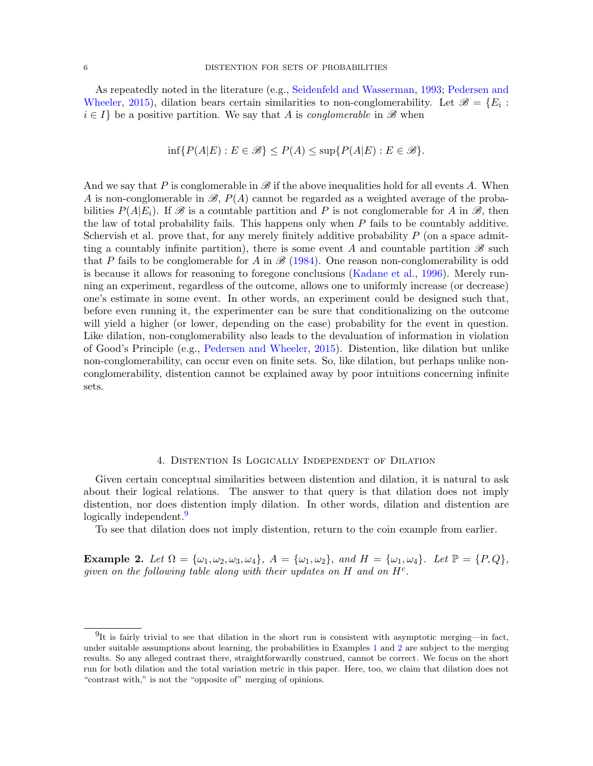As repeatedly noted in the literature (e.g., [Seidenfeld and Wasserman,](#page-14-10) [1993;](#page-14-10) [Pedersen and](#page-14-13) [Wheeler,](#page-14-13) [2015\)](#page-14-13), dilation bears certain similarities to non-conglomerability. Let  $\mathscr{B} = \{E_i :$  $i \in I$  be a positive partition. We say that A is *conglomerable* in  $\mathscr{B}$  when

$$
\inf\{P(A|E): E \in \mathcal{B}\} \le P(A) \le \sup\{P(A|E): E \in \mathcal{B}\}.
$$

And we say that P is conglomerable in  $\mathscr{B}$  if the above inequalities hold for all events A. When A is non-conglomerable in  $\mathscr{B}, P(A)$  cannot be regarded as a weighted average of the probabilities  $P(A|E_i)$ . If  $\mathscr B$  is a countable partition and P is not conglomerable for A in  $\mathscr B$ , then the law of total probability fails. This happens only when  $P$  fails to be countably additive. Schervish et al. prove that, for any merely finitely additive probability  $P$  (on a space admitting a countably infinite partition), there is some event A and countable partition  $\mathscr B$  such that P fails to be conglomerable for A in  $\mathcal{B}$  [\(1984\)](#page-14-17). One reason non-conglomerability is odd is because it allows for reasoning to foregone conclusions [\(Kadane et al.,](#page-13-22) [1996\)](#page-13-22). Merely running an experiment, regardless of the outcome, allows one to uniformly increase (or decrease) one's estimate in some event. In other words, an experiment could be designed such that, before even running it, the experimenter can be sure that conditionalizing on the outcome will yield a higher (or lower, depending on the case) probability for the event in question. Like dilation, non-conglomerability also leads to the devaluation of information in violation of Good's Principle (e.g., [Pedersen and Wheeler,](#page-14-13) [2015\)](#page-14-13). Distention, like dilation but unlike non-conglomerability, can occur even on finite sets. So, like dilation, but perhaps unlike nonconglomerability, distention cannot be explained away by poor intuitions concerning infinite sets.

#### 4. Distention Is Logically Independent of Dilation

<span id="page-5-0"></span>Given certain conceptual similarities between distention and dilation, it is natural to ask about their logical relations. The answer to that query is that dilation does not imply distention, nor does distention imply dilation. In other words, dilation and distention are logically independent.<sup>[9](#page-5-1)</sup>

To see that dilation does not imply distention, return to the coin example from earlier.

<span id="page-5-2"></span>Example 2. Let  $\Omega = {\omega_1, \omega_2, \omega_3, \omega_4}$ ,  $A = {\omega_1, \omega_2}$ , and  $H = {\omega_1, \omega_4}$ . Let  $\mathbb{P} = {P, Q}$ , given on the following table along with their updates on  $H$  and on  $H<sup>c</sup>$ .

<span id="page-5-1"></span> $^{9}$ It is fairly trivial to see that dilation in the short run is consistent with asymptotic merging—in fact, under suitable assumptions about learning, the probabilities in Examples [1](#page-3-0) and [2](#page-5-2) are subject to the merging results. So any alleged contrast there, straightforwardly construed, cannot be correct. We focus on the short run for both dilation and the total variation metric in this paper. Here, too, we claim that dilation does not "contrast with," is not the "opposite of" merging of opinions.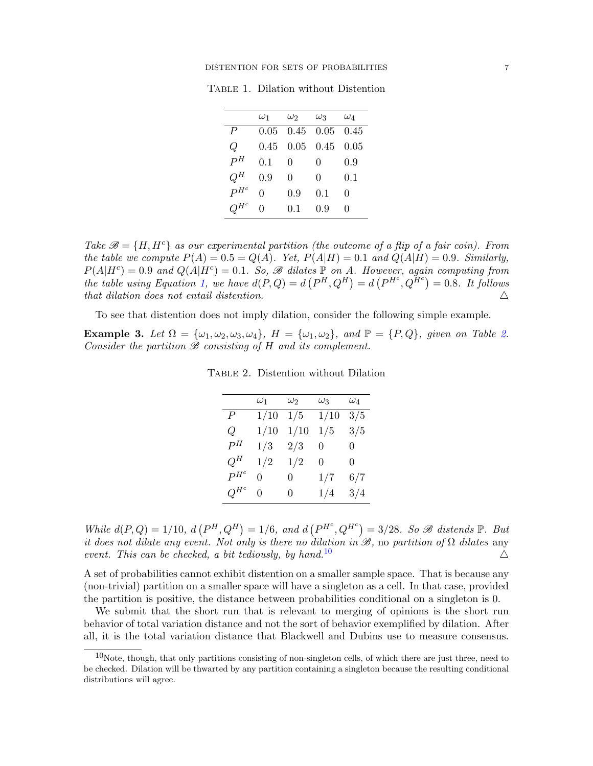#### DISTENTION FOR SETS OF PROBABILITIES  $7$

|                  | $\omega_1$ | $\omega_2$ | $\omega_3$ | $\omega_4$   |
|------------------|------------|------------|------------|--------------|
| $\boldsymbol{P}$ | 0.05       | 0.45       | 0.05       | 0.45         |
| Q                | 0.45       | 0.05       | 0.45       | 0.05         |
| $P^H$            | 0.1        | 0          | 0          | 0.9          |
| $Q^H$            | 0.9        | 0          | 0          | 0.1          |
| $P^{H^c}$        | 0          | 0.9        | 0.1        | 0            |
| $H^c$            | 0          | 0.1        | 0.9        | $\mathbf{0}$ |

Table 1. Dilation without Distention

Take  $\mathcal{B} = \{H, H^c\}$  as our experimental partition (the outcome of a flip of a fair coin). From the table we compute  $P(A) = 0.5 = Q(A)$ . Yet,  $P(A|H) = 0.1$  and  $Q(A|H) = 0.9$ . Similarly,  $P(A|H^c) = 0.9$  and  $Q(A|H^c) = 0.1$ . So,  $\mathscr B$  dilates  $\mathbb P$  on A. However, again computing from the table using Equation [1,](#page-4-3) we have  $d(P,Q) = d(P^H,Q^H) = d(P^{H^c},Q^{H^c}) = 0.8$ . It follows that dilation does not entail distention. 4

To see that distention does not imply dilation, consider the following simple example.

<span id="page-6-2"></span><span id="page-6-0"></span>Example 3. Let  $\Omega = {\omega_1, \omega_2, \omega_3, \omega_4}$ ,  $H = {\omega_1, \omega_2}$ , and  $\mathbb{P} = {P, Q}$ , given on Table [2.](#page-6-0) Consider the partition  $\mathcal B$  consisting of  $H$  and its complement.

|           | $\omega_1$ | $\omega_2$ | $\omega_3$ | $\omega_4$ |
|-----------|------------|------------|------------|------------|
| Р         | 1/10       | 1/5        | 1/10       | 3/5        |
| Q         | 1/10       | 1/10       | 1/5        | 3/5        |
| $P^H$     | 1/3        | 2/3        | 0          | 0          |
| $Q^H$     | 1/2        | 1/2        | 0          | 0          |
| $P^{He}$  | 0          | 0          | 1/7        | 6/7        |
| $Q^{H^c}$ | 0          | 0          | 1/4        | 3/4        |

Table 2. Distention without Dilation

While  $d(P,Q) = 1/10$ ,  $d(P^H, Q^H) = 1/6$ , and  $d(P^{H^c}, Q^{H^c}) = 3/28$ . So  $\mathcal B$  distends  $\mathbb P$ . But it does not dilate any event. Not only is there no dilation in  $\mathscr{B}$ , no partition of  $\Omega$  dilates any event. This can be checked, a bit tediously, by hand.<sup>[10](#page-6-1)</sup>  $\Delta$ 

A set of probabilities cannot exhibit distention on a smaller sample space. That is because any (non-trivial) partition on a smaller space will have a singleton as a cell. In that case, provided the partition is positive, the distance between probabilities conditional on a singleton is 0.

We submit that the short run that is relevant to merging of opinions is the short run behavior of total variation distance and not the sort of behavior exemplified by dilation. After all, it is the total variation distance that Blackwell and Dubins use to measure consensus.

<span id="page-6-1"></span> $10$ Note, though, that only partitions consisting of non-singleton cells, of which there are just three, need to be checked. Dilation will be thwarted by any partition containing a singleton because the resulting conditional distributions will agree.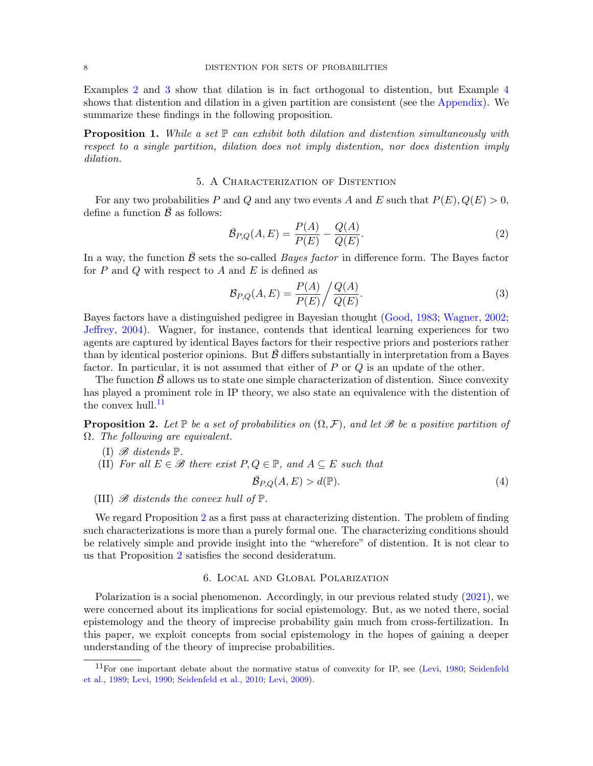Examples [2](#page-5-2) and [3](#page-6-2) show that dilation is in fact orthogonal to distention, but Example [4](#page-11-0) shows that distention and dilation in a given partition are consistent (see the [Appendix\)](#page-11-1). We summarize these findings in the following proposition.

<span id="page-7-1"></span>**Proposition 1.** While a set  $\mathbb{P}$  can exhibit both dilation and distention simultaneously with respect to a single partition, dilation does not imply distention, nor does distention imply dilation.

## 5. A Characterization of Distention

<span id="page-7-0"></span>For any two probabilities P and Q and any two events A and E such that  $P(E), Q(E) > 0$ , define a function  $\bar{\mathcal{B}}$  as follows:

$$
\bar{\mathcal{B}}_{P,Q}(A,E) = \frac{P(A)}{P(E)} - \frac{Q(A)}{Q(E)}.
$$
\n(2)

In a way, the function  $\bar{\beta}$  sets the so-called *Bayes factor* in difference form. The Bayes factor for  $P$  and  $Q$  with respect to  $A$  and  $E$  is defined as

$$
\mathcal{B}_{P,Q}(A,E) = \frac{P(A)}{P(E)} \bigg/ \frac{Q(A)}{Q(E)}.\tag{3}
$$

Bayes factors have a distinguished pedigree in Bayesian thought [\(Good,](#page-13-23) [1983;](#page-13-23) [Wagner,](#page-14-18) [2002;](#page-14-18) [Jeffrey,](#page-13-24) [2004\)](#page-13-24). Wagner, for instance, contends that identical learning experiences for two agents are captured by identical Bayes factors for their respective priors and posteriors rather than by identical posterior opinions. But  $\beta$  differs substantially in interpretation from a Bayes factor. In particular, it is not assumed that either of  $P$  or  $Q$  is an update of the other.

The function  $\beta$  allows us to state one simple characterization of distention. Since convexity has played a prominent role in IP theory, we also state an equivalence with the distention of the convex hull. $^{11}$  $^{11}$  $^{11}$ 

<span id="page-7-2"></span>**Proposition 2.** Let  $\mathbb P$  be a set of probabilities on  $(\Omega, \mathcal{F})$ , and let  $\mathscr B$  be a positive partition of Ω. The following are equivalent.

- (I)  $\mathscr{B}$  distends  $\mathbb{P}$ .
- (II) For all  $E \in \mathscr{B}$  there exist  $P, Q \in \mathbb{P}$ , and  $A \subseteq E$  such that

$$
\bar{\mathcal{B}}_{P,Q}(A,E) > d(\mathbb{P}).\tag{4}
$$

(III)  $\mathscr B$  distends the convex hull of  $\mathbb P$ .

We regard Proposition [2](#page-7-2) as a first pass at characterizing distention. The problem of finding such characterizations is more than a purely formal one. The characterizing conditions should be relatively simple and provide insight into the "wherefore" of distention. It is not clear to us that Proposition [2](#page-7-2) satisfies the second desideratum.

## 6. Local and Global Polarization

<span id="page-7-3"></span>Polarization is a social phenomenon. Accordingly, in our previous related study [\(2021\)](#page-14-5), we were concerned about its implications for social epistemology. But, as we noted there, social epistemology and the theory of imprecise probability gain much from cross-fertilization. In this paper, we exploit concepts from social epistemology in the hopes of gaining a deeper understanding of the theory of imprecise probabilities.

<span id="page-7-4"></span><sup>&</sup>lt;sup>11</sup>For one important debate about the normative status of convexity for IP, see [\(Levi,](#page-13-8) [1980;](#page-13-8) [Seidenfeld](#page-14-8) [et al.,](#page-14-8) [1989;](#page-14-8) [Levi,](#page-13-25) [1990;](#page-13-25) [Seidenfeld et al.,](#page-14-19) [2010;](#page-14-19) [Levi,](#page-13-26) [2009\)](#page-13-26).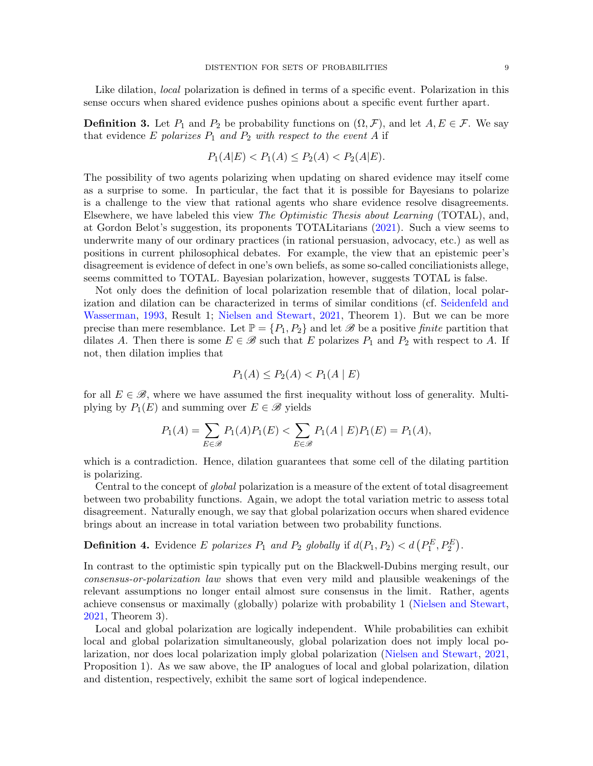Like dilation, *local* polarization is defined in terms of a specific event. Polarization in this sense occurs when shared evidence pushes opinions about a specific event further apart.

**Definition 3.** Let  $P_1$  and  $P_2$  be probability functions on  $(\Omega, \mathcal{F})$ , and let  $A, E \in \mathcal{F}$ . We say that evidence E polarizes  $P_1$  and  $P_2$  with respect to the event A if

$$
P_1(A|E) < P_1(A) \le P_2(A) < P_2(A|E).
$$

The possibility of two agents polarizing when updating on shared evidence may itself come as a surprise to some. In particular, the fact that it is possible for Bayesians to polarize is a challenge to the view that rational agents who share evidence resolve disagreements. Elsewhere, we have labeled this view The Optimistic Thesis about Learning (TOTAL), and, at Gordon Belot's suggestion, its proponents TOTALitarians [\(2021\)](#page-14-5). Such a view seems to underwrite many of our ordinary practices (in rational persuasion, advocacy, etc.) as well as positions in current philosophical debates. For example, the view that an epistemic peer's disagreement is evidence of defect in one's own beliefs, as some so-called conciliationists allege, seems committed to TOTAL. Bayesian polarization, however, suggests TOTAL is false.

Not only does the definition of local polarization resemble that of dilation, local polarization and dilation can be characterized in terms of similar conditions (cf. [Seidenfeld and](#page-14-10) [Wasserman,](#page-14-10) [1993,](#page-14-10) Result 1; [Nielsen and Stewart,](#page-14-5) [2021,](#page-14-5) Theorem 1). But we can be more precise than mere resemblance. Let  $\mathbb{P} = \{P_1, P_2\}$  and let  $\mathscr{B}$  be a positive finite partition that dilates A. Then there is some  $E \in \mathscr{B}$  such that E polarizes  $P_1$  and  $P_2$  with respect to A. If not, then dilation implies that

$$
P_1(A) \le P_2(A) < P_1(A \mid E)
$$

for all  $E \in \mathscr{B}$ , where we have assumed the first inequality without loss of generality. Multiplying by  $P_1(E)$  and summing over  $E \in \mathscr{B}$  yields

$$
P_1(A) = \sum_{E \in \mathcal{B}} P_1(A) P_1(E) < \sum_{E \in \mathcal{B}} P_1(A \mid E) P_1(E) = P_1(A),
$$

which is a contradiction. Hence, dilation guarantees that some cell of the dilating partition is polarizing.

Central to the concept of global polarization is a measure of the extent of total disagreement between two probability functions. Again, we adopt the total variation metric to assess total disagreement. Naturally enough, we say that global polarization occurs when shared evidence brings about an increase in total variation between two probability functions.

**Definition 4.** Evidence E polarizes  $P_1$  and  $P_2$  globally if  $d(P_1, P_2) < d(P_1^E, P_2^E)$ .

In contrast to the optimistic spin typically put on the Blackwell-Dubins merging result, our consensus-or-polarization law shows that even very mild and plausible weakenings of the relevant assumptions no longer entail almost sure consensus in the limit. Rather, agents achieve consensus or maximally (globally) polarize with probability 1 [\(Nielsen and Stewart,](#page-14-5) [2021,](#page-14-5) Theorem 3).

Local and global polarization are logically independent. While probabilities can exhibit local and global polarization simultaneously, global polarization does not imply local polarization, nor does local polarization imply global polarization [\(Nielsen and Stewart,](#page-14-5) [2021,](#page-14-5) Proposition 1). As we saw above, the IP analogues of local and global polarization, dilation and distention, respectively, exhibit the same sort of logical independence.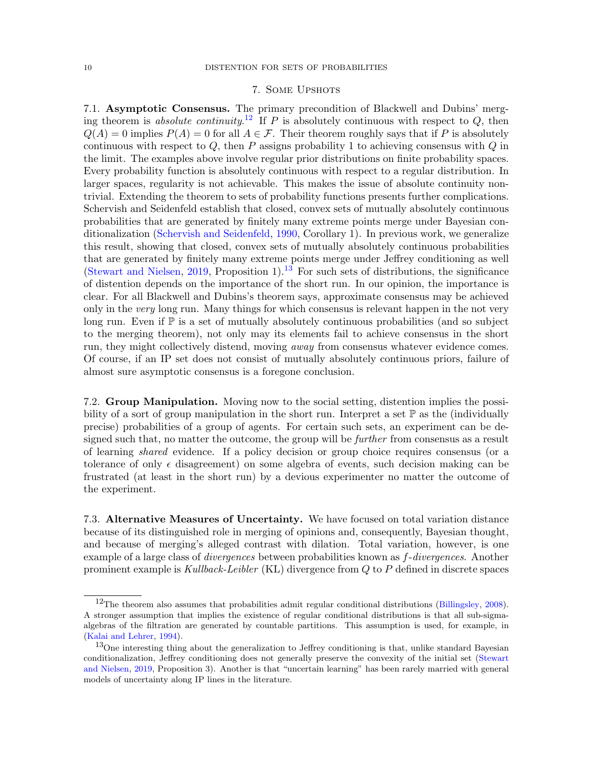## 7. Some Upshots

<span id="page-9-0"></span>7.1. Asymptotic Consensus. The primary precondition of Blackwell and Dubins' merg-ing theorem is absolute continuity.<sup>[12](#page-9-2)</sup> If P is absolutely continuous with respect to  $Q$ , then  $Q(A) = 0$  implies  $P(A) = 0$  for all  $A \in \mathcal{F}$ . Their theorem roughly says that if P is absolutely continuous with respect to  $Q$ , then P assigns probability 1 to achieving consensus with  $Q$  in the limit. The examples above involve regular prior distributions on finite probability spaces. Every probability function is absolutely continuous with respect to a regular distribution. In larger spaces, regularity is not achievable. This makes the issue of absolute continuity nontrivial. Extending the theorem to sets of probability functions presents further complications. Schervish and Seidenfeld establish that closed, convex sets of mutually absolutely continuous probabilities that are generated by finitely many extreme points merge under Bayesian conditionalization [\(Schervish and Seidenfeld,](#page-14-1) [1990,](#page-14-1) Corollary 1). In previous work, we generalize this result, showing that closed, convex sets of mutually absolutely continuous probabilities that are generated by finitely many extreme points merge under Jeffrey conditioning as well [\(Stewart and Nielsen,](#page-14-20) [2019,](#page-14-20) Proposition 1).<sup>[13](#page-9-3)</sup> For such sets of distributions, the significance of distention depends on the importance of the short run. In our opinion, the importance is clear. For all Blackwell and Dubins's theorem says, approximate consensus may be achieved only in the very long run. Many things for which consensus is relevant happen in the not very long run. Even if  $\mathbb P$  is a set of mutually absolutely continuous probabilities (and so subject to the merging theorem), not only may its elements fail to achieve consensus in the short run, they might collectively distend, moving away from consensus whatever evidence comes. Of course, if an IP set does not consist of mutually absolutely continuous priors, failure of almost sure asymptotic consensus is a foregone conclusion.

7.2. Group Manipulation. Moving now to the social setting, distention implies the possibility of a sort of group manipulation in the short run. Interpret a set  $\mathbb P$  as the (individually precise) probabilities of a group of agents. For certain such sets, an experiment can be designed such that, no matter the outcome, the group will be *further* from consensus as a result of learning shared evidence. If a policy decision or group choice requires consensus (or a tolerance of only  $\epsilon$  disagreement) on some algebra of events, such decision making can be frustrated (at least in the short run) by a devious experimenter no matter the outcome of the experiment.

<span id="page-9-1"></span>7.3. Alternative Measures of Uncertainty. We have focused on total variation distance because of its distinguished role in merging of opinions and, consequently, Bayesian thought, and because of merging's alleged contrast with dilation. Total variation, however, is one example of a large class of *divergences* between probabilities known as  $f$ -divergences. Another prominent example is Kullback-Leibler (KL) divergence from  $Q$  to P defined in discrete spaces

<span id="page-9-2"></span> $12$ The theorem also assumes that probabilities admit regular conditional distributions [\(Billingsley,](#page-13-27) [2008\)](#page-13-27). A stronger assumption that implies the existence of regular conditional distributions is that all sub-sigmaalgebras of the filtration are generated by countable partitions. This assumption is used, for example, in [\(Kalai and Lehrer,](#page-13-28) [1994\)](#page-13-28).

<span id="page-9-3"></span><sup>&</sup>lt;sup>13</sup>One interesting thing about the generalization to Jeffrey conditioning is that, unlike standard Bayesian conditionalization, Jeffrey conditioning does not generally preserve the convexity of the initial set [\(Stewart](#page-14-20) [and Nielsen,](#page-14-20) [2019,](#page-14-20) Proposition 3). Another is that "uncertain learning" has been rarely married with general models of uncertainty along IP lines in the literature.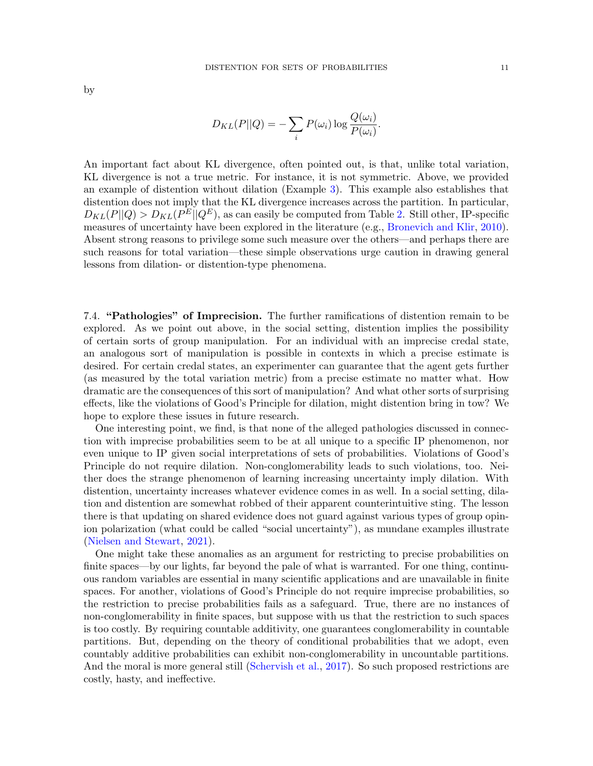$$
D_{KL}(P||Q) = -\sum_{i} P(\omega_i) \log \frac{Q(\omega_i)}{P(\omega_i)}.
$$

An important fact about KL divergence, often pointed out, is that, unlike total variation, KL divergence is not a true metric. For instance, it is not symmetric. Above, we provided an example of distention without dilation (Example [3\)](#page-6-2). This example also establishes that distention does not imply that the KL divergence increases across the partition. In particular,  $D_{KL}(P||Q) > D_{KL}(P^E||Q^E)$ , as can easily be computed from Table [2.](#page-6-0) Still other, IP-specific measures of uncertainty have been explored in the literature (e.g., [Bronevich and Klir,](#page-13-10) [2010\)](#page-13-10). Absent strong reasons to privilege some such measure over the others—and perhaps there are such reasons for total variation—these simple observations urge caution in drawing general lessons from dilation- or distention-type phenomena.

7.4. "Pathologies" of Imprecision. The further ramifications of distention remain to be explored. As we point out above, in the social setting, distention implies the possibility of certain sorts of group manipulation. For an individual with an imprecise credal state, an analogous sort of manipulation is possible in contexts in which a precise estimate is desired. For certain credal states, an experimenter can guarantee that the agent gets further (as measured by the total variation metric) from a precise estimate no matter what. How dramatic are the consequences of this sort of manipulation? And what other sorts of surprising effects, like the violations of Good's Principle for dilation, might distention bring in tow? We hope to explore these issues in future research.

One interesting point, we find, is that none of the alleged pathologies discussed in connection with imprecise probabilities seem to be at all unique to a specific IP phenomenon, nor even unique to IP given social interpretations of sets of probabilities. Violations of Good's Principle do not require dilation. Non-conglomerability leads to such violations, too. Neither does the strange phenomenon of learning increasing uncertainty imply dilation. With distention, uncertainty increases whatever evidence comes in as well. In a social setting, dilation and distention are somewhat robbed of their apparent counterintuitive sting. The lesson there is that updating on shared evidence does not guard against various types of group opinion polarization (what could be called "social uncertainty"), as mundane examples illustrate [\(Nielsen and Stewart,](#page-14-5) [2021\)](#page-14-5).

One might take these anomalies as an argument for restricting to precise probabilities on finite spaces—by our lights, far beyond the pale of what is warranted. For one thing, continuous random variables are essential in many scientific applications and are unavailable in finite spaces. For another, violations of Good's Principle do not require imprecise probabilities, so the restriction to precise probabilities fails as a safeguard. True, there are no instances of non-conglomerability in finite spaces, but suppose with us that the restriction to such spaces is too costly. By requiring countable additivity, one guarantees conglomerability in countable partitions. But, depending on the theory of conditional probabilities that we adopt, even countably additive probabilities can exhibit non-conglomerability in uncountable partitions. And the moral is more general still [\(Schervish et al.,](#page-14-21) [2017\)](#page-14-21). So such proposed restrictions are costly, hasty, and ineffective.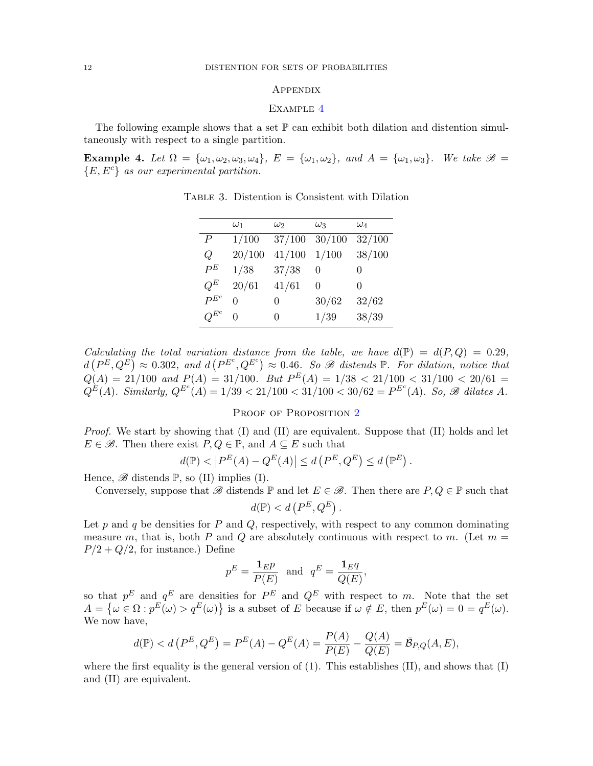## <span id="page-11-1"></span>**APPENDIX**

### EXAMPLE [4](#page-11-0)

The following example shows that a set  $\mathbb P$  can exhibit both dilation and distention simultaneously with respect to a single partition.

<span id="page-11-0"></span>Example 4. Let  $\Omega = {\omega_1, \omega_2, \omega_3, \omega_4}$ ,  $E = {\omega_1, \omega_2}$ , and  $A = {\omega_1, \omega_3}$ . We take  $\mathscr{B} =$  ${E, E<sup>c</sup>}$  as our experimental partition.

|           | $\omega_1$ | $\omega_2$        | Wą               | $\omega_4$   |
|-----------|------------|-------------------|------------------|--------------|
| P         | 1/100      | 37/100            | 30/100           | 32/100       |
| Q         | 20/100     | 41/100            | 1/100            | 38/100       |
| $P^E$     | 1/38       | 37/38             | 0                | $\mathbf{0}$ |
| $O^E$     | 20/61      | 41/61             | $\left( \right)$ | 0            |
| $P^{E^c}$ | ∩          | $\left( \right)$  | 30/62            | 32/62        |
| $Q^{E^c}$ | 0          | $\mathbf{\Omega}$ | 1/39             | 38/39        |

Table 3. Distention is Consistent with Dilation

Calculating the total variation distance from the table, we have  $d(\mathbb{P}) = d(P, Q) = 0.29$ .  $d(P^E, Q^E) \approx 0.302$ , and  $d(P^{E^c}, Q^{E^c}) \approx 0.46$ . So B distends  $\mathbb{P}$ . For dilation, notice that  $Q(A) = 21/100$  and  $P(A) = 31/100$ . But  $P^{E}(A) = 1/38 < 21/100 < 31/100 < 20/61$  $Q^{E}(A)$ . Similarly,  $Q^{E^{c}}(A) = 1/39 < 21/100 < 31/100 < 30/62 = P^{E^{c}}(A)$ . So, B dilates A.

#### PROOF OF PROPOSITION [2](#page-7-2)

Proof. We start by showing that (I) and (II) are equivalent. Suppose that (II) holds and let  $E \in \mathscr{B}$ . Then there exist  $P, Q \in \mathbb{P}$ , and  $A \subseteq E$  such that

$$
d(\mathbb{P}) < \left| P^E(A) - Q^E(A) \right| \le d\left( P^E, Q^E \right) \le d\left( \mathbb{P}^E \right).
$$

Hence,  $\mathscr{B}$  distends  $\mathbb{P}$ , so (II) implies (I).

Conversely, suppose that  $\mathscr{B}$  distends  $\mathbb{P}$  and let  $E \in \mathscr{B}$ . Then there are  $P, Q \in \mathbb{P}$  such that

$$
d(\mathbb{P}) < d\left(P^E, Q^E\right).
$$

Let  $p$  and  $q$  be densities for  $P$  and  $Q$ , respectively, with respect to any common dominating measure m, that is, both P and Q are absolutely continuous with respect to m. (Let  $m =$  $P/2 + Q/2$ , for instance.) Define

$$
p^E = \frac{\mathbf{1}_E p}{P(E)}
$$
 and  $q^E = \frac{\mathbf{1}_E q}{Q(E)}$ ,

so that  $p^E$  and  $q^E$  are densities for  $P^E$  and  $Q^E$  with respect to m. Note that the set  $A = \{\omega \in \Omega : p^E(\omega) > q^E(\omega)\}\$ is a subset of E because if  $\omega \notin E$ , then  $p^E(\omega) = 0 = q^E(\omega)$ . We now have,

$$
d(\mathbb{P}) < d\left(P^{E}, Q^{E}\right) = P^{E}(A) - Q^{E}(A) = \frac{P(A)}{P(E)} - \frac{Q(A)}{Q(E)} = \bar{B}_{P,Q}(A, E),
$$

where the first equality is the general version of  $(1)$ . This establishes  $(II)$ , and shows that  $(I)$ and (II) are equivalent.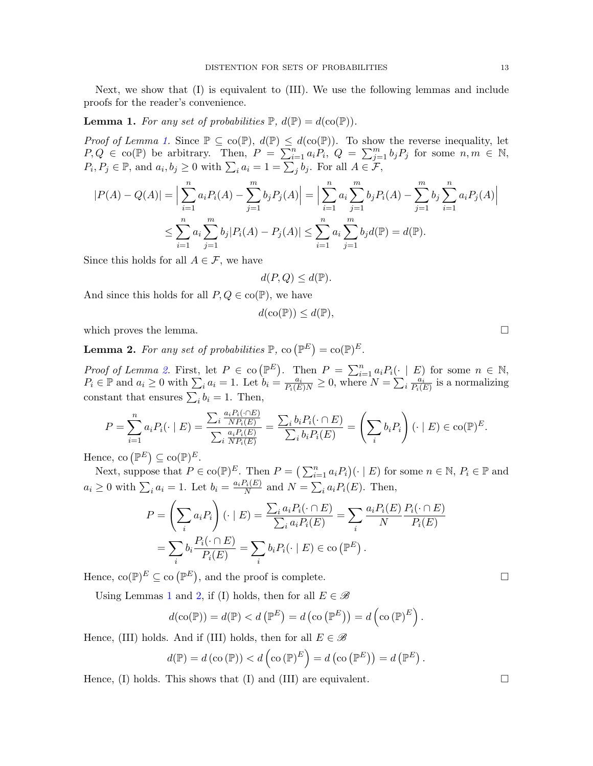Next, we show that (I) is equivalent to (III). We use the following lemmas and include proofs for the reader's convenience.

<span id="page-12-0"></span>**Lemma 1.** For any set of probabilities  $\mathbb{P}$ ,  $d(\mathbb{P}) = d(\text{co}(\mathbb{P}))$ .

*Proof of Lemma [1.](#page-12-0)* Since  $\mathbb{P} \subseteq \text{co}(\mathbb{P}), d(\mathbb{P}) \leq d(\text{co}(\mathbb{P}))$ . To show the reverse inequality, let  $P,Q \in \text{co}(\mathbb{P})$  be arbitrary. Then,  $P = \sum_{i=1}^{n} a_i P_i$ ,  $Q = \sum_{j=1}^{m} b_j P_j$  for some  $n, m \in \mathbb{N}$ ,  $P_i, P_j \in \mathbb{P}$ , and  $a_i, b_j \ge 0$  with  $\sum_i a_i = 1 = \sum_j b_j$ . For all  $A \in \mathcal{F}$ ,

$$
|P(A) - Q(A)| = \Big| \sum_{i=1}^{n} a_i P_i(A) - \sum_{j=1}^{m} b_j P_j(A) \Big| = \Big| \sum_{i=1}^{n} a_i \sum_{j=1}^{m} b_j P_i(A) - \sum_{j=1}^{m} b_j \sum_{i=1}^{n} a_i P_j(A) \Big|
$$
  

$$
\leq \sum_{i=1}^{n} a_i \sum_{j=1}^{m} b_j |P_i(A) - P_j(A)| \leq \sum_{i=1}^{n} a_i \sum_{j=1}^{m} b_j d(\mathbb{P}) = d(\mathbb{P}).
$$

Since this holds for all  $A \in \mathcal{F}$ , we have

$$
d(P,Q) \leq d(\mathbb{P}).
$$

And since this holds for all  $P, Q \in \text{co}(\mathbb{P})$ , we have

$$
d(\operatorname{co}(\mathbb{P})) \leq d(\mathbb{P}),
$$

which proves the lemma.  $\Box$ 

<span id="page-12-1"></span>**Lemma 2.** For any set of probabilities  $\mathbb{P}$ , co  $(\mathbb{P}^E) = \text{co}(\mathbb{P})^E$ .

*Proof of Lemma [2.](#page-12-1)* First, let  $P \in \text{co}(\mathbb{P}^E)$ . Then  $P = \sum_{i=1}^n a_i P_i(\cdot | E)$  for some  $n \in \mathbb{N}$ ,  $P_i \in \mathbb{P}$  and  $a_i \geq 0$  with  $\sum_i a_i = 1$ . Let  $b_i = \frac{a_i}{P_i(E)N} \geq 0$ , where  $N = \sum_i \frac{a_i}{P_i(N)}$  $\frac{a_i}{P_i(E)}$  is a normalizing constant that ensures  $\sum_i b_i = 1$ . Then,

$$
P = \sum_{i=1}^{n} a_i P_i(\cdot \mid E) = \frac{\sum_i \frac{a_i P_i(\cdot \cap E)}{N P_i(E)}}{\sum_i \frac{a_i P_i(E)}{N P_i(E)}} = \frac{\sum_i b_i P_i(\cdot \cap E)}{\sum_i b_i P_i(E)} = \left(\sum_i b_i P_i\right)(\cdot \mid E) \in \text{co}(\mathbb{P})^E.
$$

Hence, co  $(\mathbb{P}^E) \subseteq \text{co}(\mathbb{P})^E$ .

Next, suppose that  $P \in \text{co}(\mathbb{P})^E$ . Then  $P = (\sum_{i=1}^n a_i P_i)(\cdot | E)$  for some  $n \in \mathbb{N}$ ,  $P_i \in \mathbb{P}$  and  $a_i \geq 0$  with  $\sum_i a_i = 1$ . Let  $b_i = \frac{a_i P_i(E)}{N}$  $\frac{N_i(E)}{N}$  and  $N = \sum_i a_i P_i(E)$ . Then,

$$
P = \left(\sum_i a_i P_i\right) (\cdot \mid E) = \frac{\sum_i a_i P_i (\cdot \cap E)}{\sum_i a_i P_i (E)} = \sum_i \frac{a_i P_i (E)}{N} \frac{P_i (\cdot \cap E)}{P_i (E)}
$$

$$
= \sum_i b_i \frac{P_i (\cdot \cap E)}{P_i (E)} = \sum_i b_i P_i (\cdot \mid E) \in \text{co}\left(\mathbb{P}^E\right).
$$

Hence,  $\operatorname{co}(\mathbb{P})^E \subseteq \operatorname{co}(\mathbb{P}^E)$ , and the proof is complete.

Using Lemmas [1](#page-12-0) and [2,](#page-12-1) if (I) holds, then for all  $E \in \mathscr{B}$ 

$$
d(\mathrm{co}(\mathbb{P})) = d(\mathbb{P}) < d(\mathbb{P}^E) = d(\mathrm{co}(\mathbb{P}^E)) = d(\mathrm{co}(\mathbb{P})^E).
$$

Hence, (III) holds. And if (III) holds, then for all  $E \in \mathscr{B}$ 

$$
d(\mathbb{P}) = d(\text{co}(\mathbb{P})) < d(\text{co}(\mathbb{P})^E) = d(\text{co}(\mathbb{P}^E)) = d(\mathbb{P}^E).
$$

Hence, (I) holds. This shows that (I) and (III) are equivalent.  $\Box$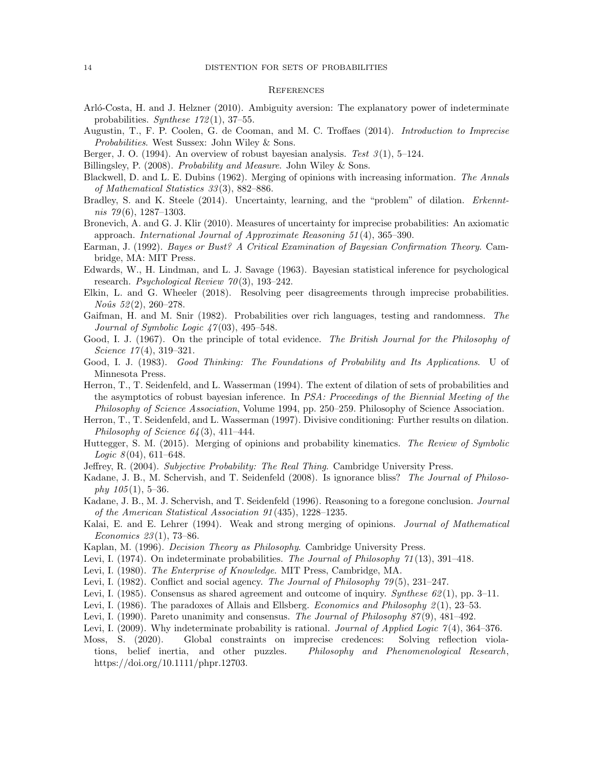#### **REFERENCES**

- <span id="page-13-16"></span>Arló-Costa, H. and J. Helzner (2010). Ambiguity aversion: The explanatory power of indeterminate probabilities. Synthese  $172(1)$ , 37–55.
- <span id="page-13-11"></span>Augustin, T., F. P. Coolen, G. de Cooman, and M. C. Troffaes (2014). Introduction to Imprecise Probabilities. West Sussex: John Wiley & Sons.
- <span id="page-13-12"></span>Berger, J. O. (1994). An overview of robust bayesian analysis. Test  $3(1)$ , 5–124.
- <span id="page-13-27"></span>Billingsley, P. (2008). Probability and Measure. John Wiley & Sons.
- <span id="page-13-0"></span>Blackwell, D. and L. E. Dubins (1962). Merging of opinions with increasing information. The Annals of Mathematical Statistics 33 (3), 882–886.
- <span id="page-13-19"></span>Bradley, S. and K. Steele (2014). Uncertainty, learning, and the "problem" of dilation. Erkenntnis 79 $(6)$ , 1287–1303.

<span id="page-13-10"></span>Bronevich, A. and G. J. Klir (2010). Measures of uncertainty for imprecise probabilities: An axiomatic approach. International Journal of Approximate Reasoning 51 (4), 365–390.

- <span id="page-13-5"></span>Earman, J. (1992). Bayes or Bust? A Critical Examination of Bayesian Confirmation Theory. Cambridge, MA: MIT Press.
- <span id="page-13-3"></span>Edwards, W., H. Lindman, and L. J. Savage (1963). Bayesian statistical inference for psychological research. Psychological Review  $70(3)$ , 193-242.
- <span id="page-13-14"></span>Elkin, L. and G. Wheeler (2018). Resolving peer disagreements through imprecise probabilities.  $Noûs 52(2), 260-278.$
- <span id="page-13-4"></span>Gaifman, H. and M. Snir (1982). Probabilities over rich languages, testing and randomness. The Journal of Symbolic Logic  $47(03)$ , 495–548.
- <span id="page-13-21"></span>Good, I. J. (1967). On the principle of total evidence. The British Journal for the Philosophy of Science  $17(4)$ , 319-321.
- <span id="page-13-23"></span>Good, I. J. (1983). Good Thinking: The Foundations of Probability and Its Applications. U of Minnesota Press.
- <span id="page-13-1"></span>Herron, T., T. Seidenfeld, and L. Wasserman (1994). The extent of dilation of sets of probabilities and the asymptotics of robust bayesian inference. In PSA: Proceedings of the Biennial Meeting of the Philosophy of Science Association, Volume 1994, pp. 250–259. Philosophy of Science Association.
- <span id="page-13-7"></span>Herron, T., T. Seidenfeld, and L. Wasserman (1997). Divisive conditioning: Further results on dilation. Philosophy of Science  $64(3)$ , 411–444.
- <span id="page-13-6"></span>Huttegger, S. M. (2015). Merging of opinions and probability kinematics. The Review of Symbolic *Logic*  $8(04)$ ,  $611-648$ .
- <span id="page-13-24"></span>Jeffrey, R. (2004). Subjective Probability: The Real Thing. Cambridge University Press.
- <span id="page-13-2"></span>Kadane, J. B., M. Schervish, and T. Seidenfeld (2008). Is ignorance bliss? The Journal of Philosophy  $105(1)$ , 5–36.
- <span id="page-13-22"></span>Kadane, J. B., M. J. Schervish, and T. Seidenfeld (1996). Reasoning to a foregone conclusion. Journal of the American Statistical Association 91 (435), 1228–1235.
- <span id="page-13-28"></span>Kalai, E. and E. Lehrer (1994). Weak and strong merging of opinions. Journal of Mathematical Economics 23 (1), 73–86.
- <span id="page-13-17"></span>Kaplan, M. (1996). Decision Theory as Philosophy. Cambridge University Press.
- <span id="page-13-15"></span>Levi, I. (1974). On indeterminate probabilities. The Journal of Philosophy 71(13), 391–418.
- <span id="page-13-8"></span>Levi, I. (1980). The Enterprise of Knowledge. MIT Press, Cambridge, MA.
- <span id="page-13-13"></span>Levi, I. (1982). Conflict and social agency. The Journal of Philosophy 79(5), 231–247.
- <span id="page-13-9"></span>Levi, I. (1985). Consensus as shared agreement and outcome of inquiry. Synthese  $62(1)$ , pp. 3–11.
- <span id="page-13-18"></span>Levi, I. (1986). The paradoxes of Allais and Ellsberg. *Economics and Philosophy*  $2(1)$ , 23–53.
- <span id="page-13-25"></span>Levi, I. (1990). Pareto unanimity and consensus. The Journal of Philosophy 87(9), 481–492.
- <span id="page-13-26"></span>Levi, I. (2009). Why indeterminate probability is rational. Journal of Applied Logic  $\gamma(4)$ , 364–376.
- <span id="page-13-20"></span>Moss, S. (2020). Global constraints on imprecise credences: Solving reflection violations, belief inertia, and other puzzles. Philosophy and Phenomenological Research, https://doi.org/10.1111/phpr.12703.